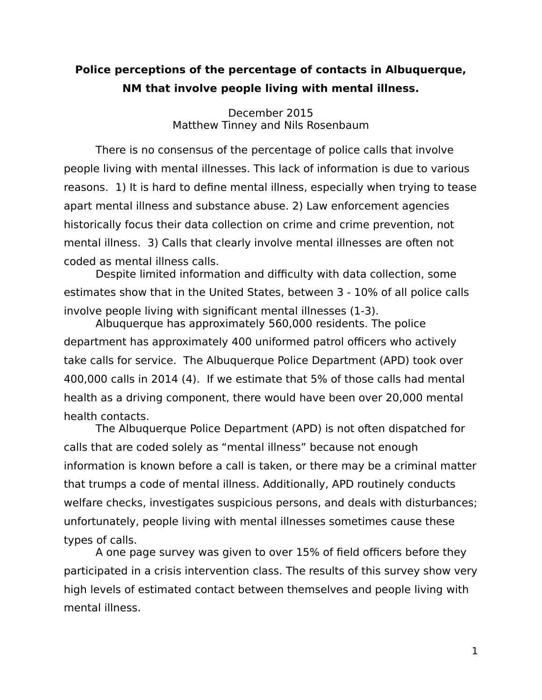## **Police perceptions of the percentage of contacts in Albuquerque, NM that involve people living with mental illness.**

December 2015 Matthew Tinney and Nils Rosenbaum

There is no consensus of the percentage of police calls that involve people living with mental illnesses. This lack of information is due to various reasons. 1) It is hard to define mental illness, especially when trying to tease apart mental illness and substance abuse. 2) Law enforcement agencies historically focus their data collection on crime and crime prevention, not mental illness. 3) Calls that clearly involve mental illnesses are often not coded as mental illness calls.

Despite limited information and difficulty with data collection, some estimates show that in the United States, between 3 - 10% of all police calls involve people living with significant mental illnesses (1-3).

Albuquerque has approximately 560,000 residents. The police department has approximately 400 uniformed patrol officers who actively take calls for service. The Albuquerque Police Department (APD) took over 400,000 calls in 2014 (4). If we estimate that 5% of those calls had mental health as a driving component, there would have been over 20,000 mental health contacts.

The Albuquerque Police Department (APD) is not often dispatched for calls that are coded solely as "mental illness" because not enough information is known before a call is taken, or there may be a criminal matter that trumps a code of mental illness. Additionally, APD routinely conducts welfare checks, investigates suspicious persons, and deals with disturbances; unfortunately, people living with mental illnesses sometimes cause these types of calls.

A one page survey was given to over 15% of field officers before they participated in a crisis intervention class. The results of this survey show very high levels of estimated contact between themselves and people living with mental illness.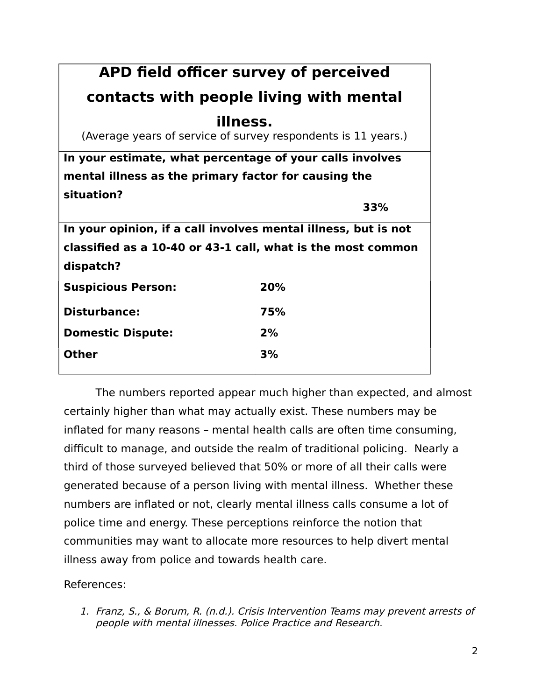| APD field officer survey of perceived                          |     |
|----------------------------------------------------------------|-----|
| contacts with people living with mental                        |     |
| illness.                                                       |     |
| (Average years of service of survey respondents is 11 years.)  |     |
| In your estimate, what percentage of your calls involves       |     |
| mental illness as the primary factor for causing the           |     |
| situation?                                                     |     |
|                                                                | 33% |
| In your opinion, if a call involves mental illness, but is not |     |
| classified as a 10-40 or 43-1 call, what is the most common    |     |
| dispatch?                                                      |     |
| <b>Suspicious Person:</b>                                      | 20% |
| <b>Disturbance:</b>                                            | 75% |
| <b>Domestic Dispute:</b>                                       | 2%  |
| Other                                                          | 3%  |

The numbers reported appear much higher than expected, and almost certainly higher than what may actually exist. These numbers may be inflated for many reasons – mental health calls are often time consuming, difficult to manage, and outside the realm of traditional policing. Nearly a third of those surveyed believed that 50% or more of all their calls were generated because of a person living with mental illness. Whether these numbers are inflated or not, clearly mental illness calls consume a lot of police time and energy. These perceptions reinforce the notion that communities may want to allocate more resources to help divert mental illness away from police and towards health care.

References:

1. Franz, S., & Borum, R. (n.d.). Crisis Intervention Teams may prevent arrests of people with mental illnesses. Police Practice and Research.